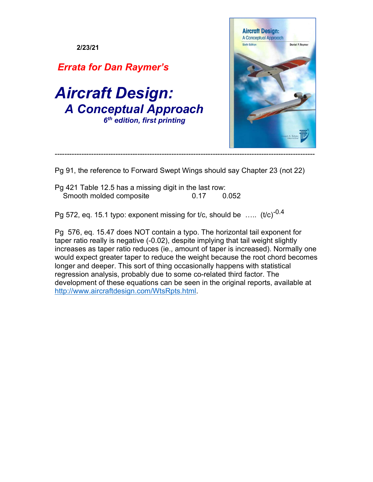

- Pg 91, the reference to Forward Swept Wings should say Chapter 23 (not 22)
- Pg 421 Table 12.5 has a missing digit in the last row: Smooth molded composite 0.17 0.052

Pg 572, eq. 15.1 typo: exponent missing for t/c, should be .....  $(t/c)^{-0.4}$ 

Pg 576, eq. 15.47 does NOT contain a typo. The horizontal tail exponent for taper ratio really is negative (-0.02), despite implying that tail weight slightly increases as taper ratio reduces (ie., amount of taper is increased). Normally one would expect greater taper to reduce the weight because the root chord becomes longer and deeper. This sort of thing occasionally happens with statistical regression analysis, probably due to some co-related third factor. The development of these equations can be seen in the original reports, available at http://www.aircraftdesign.com/WtsRpts.html.